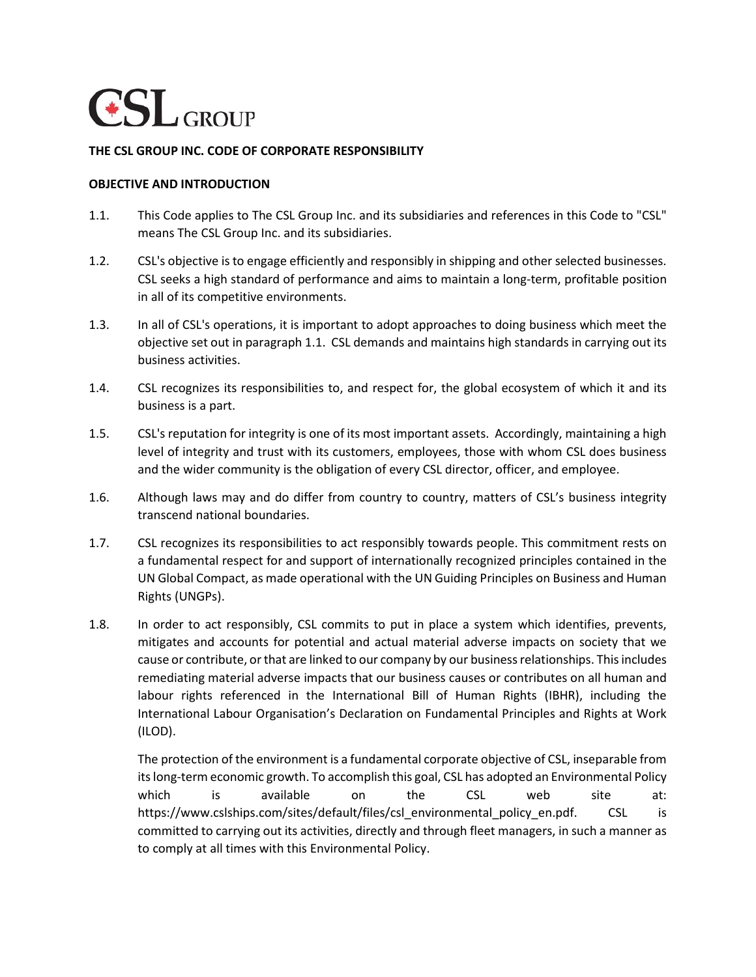

## **THE CSL GROUP INC. CODE OF CORPORATE RESPONSIBILITY**

#### **OBJECTIVE AND INTRODUCTION**

- 1.1. This Code applies to The CSL Group Inc. and its subsidiaries and references in this Code to "CSL" means The CSL Group Inc. and its subsidiaries.
- 1.2. CSL's objective is to engage efficiently and responsibly in shipping and other selected businesses. CSL seeks a high standard of performance and aims to maintain a long-term, profitable position in all of its competitive environments.
- 1.3. In all of CSL's operations, it is important to adopt approaches to doing business which meet the objective set out in paragraph 1.1. CSL demands and maintains high standards in carrying out its business activities.
- 1.4. CSL recognizes its responsibilities to, and respect for, the global ecosystem of which it and its business is a part.
- 1.5. CSL's reputation for integrity is one of its most important assets. Accordingly, maintaining a high level of integrity and trust with its customers, employees, those with whom CSL does business and the wider community is the obligation of every CSL director, officer, and employee.
- 1.6. Although laws may and do differ from country to country, matters of CSL's business integrity transcend national boundaries.
- 1.7. CSL recognizes its responsibilities to act responsibly towards people. This commitment rests on a fundamental respect for and support of internationally recognized principles contained in the UN Global Compact, as made operational with the UN Guiding Principles on Business and Human Rights (UNGPs).
- 1.8. In order to act responsibly, CSL commits to put in place a system which identifies, prevents, mitigates and accounts for potential and actual material adverse impacts on society that we cause or contribute, or that are linked to our company by our business relationships. This includes remediating material adverse impacts that our business causes or contributes on all human and labour rights referenced in the International Bill of Human Rights (IBHR), including the International Labour Organisation's Declaration on Fundamental Principles and Rights at Work (ILOD).

The protection of the environment is a fundamental corporate objective of CSL, inseparable from its long-term economic growth. To accomplish this goal, CSL has adopted an Environmental Policy which is available on the CSL web site at: https://www.cslships.com/sites/default/files/csl\_environmental\_policy\_en.pdf. CSL is committed to carrying out its activities, directly and through fleet managers, in such a manner as to comply at all times with this Environmental Policy.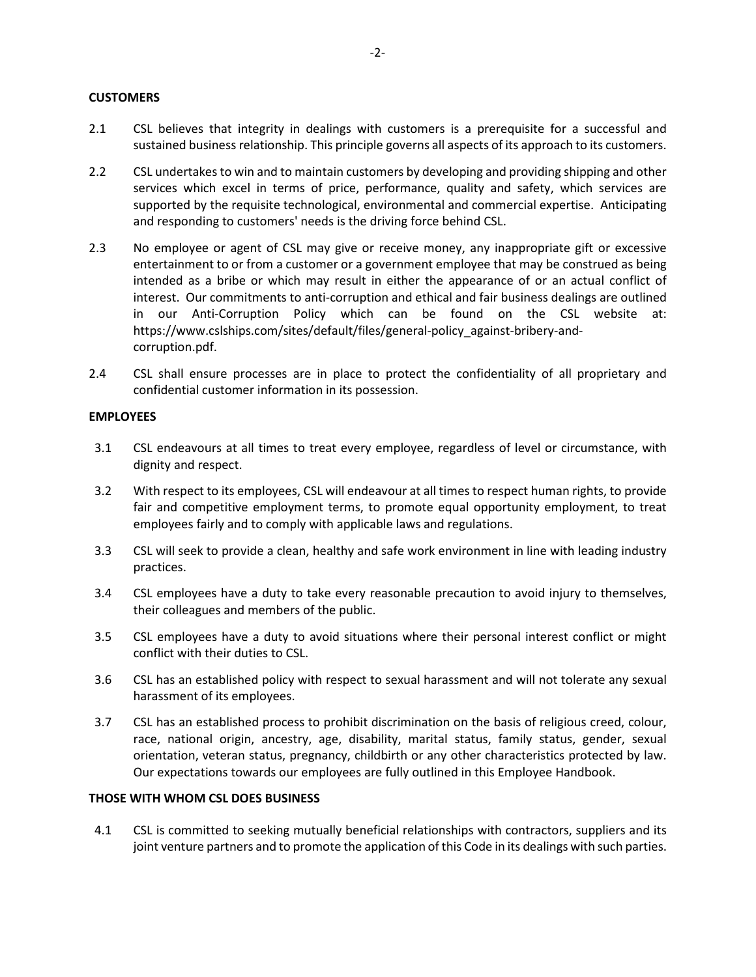## **CUSTOMERS**

- 2.1 CSL believes that integrity in dealings with customers is a prerequisite for a successful and sustained business relationship. This principle governs all aspects of its approach to its customers.
- 2.2 CSL undertakes to win and to maintain customers by developing and providing shipping and other services which excel in terms of price, performance, quality and safety, which services are supported by the requisite technological, environmental and commercial expertise. Anticipating and responding to customers' needs is the driving force behind CSL.
- 2.3 No employee or agent of CSL may give or receive money, any inappropriate gift or excessive entertainment to or from a customer or a government employee that may be construed as being intended as a bribe or which may result in either the appearance of or an actual conflict of interest. Our commitments to anti-corruption and ethical and fair business dealings are outlined in our Anti-Corruption Policy which can be found on the CSL website at: https://www.cslships.com/sites/default/files/general-policy\_against-bribery-andcorruption.pdf.
- 2.4 CSL shall ensure processes are in place to protect the confidentiality of all proprietary and confidential customer information in its possession.

## **EMPLOYEES**

- 3.1 CSL endeavours at all times to treat every employee, regardless of level or circumstance, with dignity and respect.
- 3.2 With respect to its employees, CSL will endeavour at all times to respect human rights, to provide fair and competitive employment terms, to promote equal opportunity employment, to treat employees fairly and to comply with applicable laws and regulations.
- 3.3 CSL will seek to provide a clean, healthy and safe work environment in line with leading industry practices.
- 3.4 CSL employees have a duty to take every reasonable precaution to avoid injury to themselves, their colleagues and members of the public.
- 3.5 CSL employees have a duty to avoid situations where their personal interest conflict or might conflict with their duties to CSL.
- 3.6 CSL has an established policy with respect to sexual harassment and will not tolerate any sexual harassment of its employees.
- 3.7 CSL has an established process to prohibit discrimination on the basis of religious creed, colour, race, national origin, ancestry, age, disability, marital status, family status, gender, sexual orientation, veteran status, pregnancy, childbirth or any other characteristics protected by law. Our expectations towards our employees are fully outlined in this Employee Handbook.

#### **THOSE WITH WHOM CSL DOES BUSINESS**

4.1 CSL is committed to seeking mutually beneficial relationships with contractors, suppliers and its joint venture partners and to promote the application of this Code in its dealings with such parties.